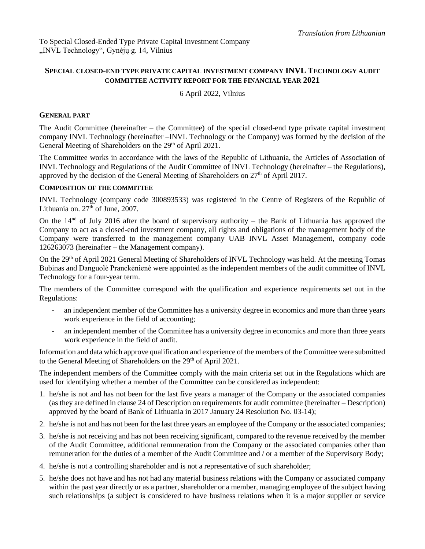# **SPECIAL CLOSED-END TYPE PRIVATE CAPITAL INVESTMENT COMPANY INVL TECHNOLOGY AUDIT COMMITTEE ACTIVITY REPORT FOR THE FINANCIAL YEAR 2021**

# 6 April 2022, Vilnius

#### **GENERAL PART**

The Audit Committee (hereinafter – the Committee) of the special closed-end type private capital investment company INVL Technology (hereinafter –INVL Technology or the Company) was formed by the decision of the General Meeting of Shareholders on the 29<sup>th</sup> of April 2021.

The Committee works in accordance with the laws of the Republic of Lithuania, the Articles of Association of INVL Technology and Regulations of the Audit Committee of INVL Technology (hereinafter – the Regulations), approved by the decision of the General Meeting of Shareholders on  $27<sup>th</sup>$  of April 2017.

#### **COMPOSITION OF THE COMMITTEE**

INVL Technology (company code 300893533) was registered in the Centre of Registers of the Republic of Lithuania on.  $27<sup>th</sup>$  of June, 2007.

On the  $14<sup>nd</sup>$  of July 2016 after the board of supervisory authority – the Bank of Lithuania has approved the Company to act as a closed-end investment company, all rights and obligations of the management body of the Company were transferred to the management company UAB INVL Asset Management, company code 126263073 (hereinafter – the Management company).

On the 29<sup>th</sup> of April 2021 General Meeting of Shareholders of INVL Technology was held. At the meeting Tomas Bubinas and Danguolė Pranckėnienė were appointed as the independent members of the audit committee of INVL Technology for a four-year term.

The members of the Committee correspond with the qualification and experience requirements set out in the Regulations:

- an independent member of the Committee has a university degree in economics and more than three years work experience in the field of accounting;
- an independent member of the Committee has a university degree in economics and more than three years work experience in the field of audit.

Information and data which approve qualification and experience of the members of the Committee were submitted to the General Meeting of Shareholders on the 29<sup>th</sup> of April 2021.

The independent members of the Committee comply with the main criteria set out in the Regulations which are used for identifying whether a member of the Committee can be considered as independent:

- 1. he/she is not and has not been for the last five years a manager of the Company or the associated companies (as they are defined in clause 24 of Description on requirements for audit committee (hereinafter – Description) approved by the board of Bank of Lithuania in 2017 January 24 Resolution No. 03-14);
- 2. he/she is not and has not been for the last three years an employee of the Company or the associated companies;
- 3. he/she is not receiving and has not been receiving significant, compared to the revenue received by the member of the Audit Committee, additional remuneration from the Company or the associated companies other than remuneration for the duties of a member of the Audit Committee and / or a member of the Supervisory Body;
- 4. he/she is not a controlling shareholder and is not a representative of such shareholder;
- 5. he/she does not have and has not had any material business relations with the Company or associated company within the past year directly or as a partner, shareholder or a member, managing employee of the subject having such relationships (a subject is considered to have business relations when it is a major supplier or service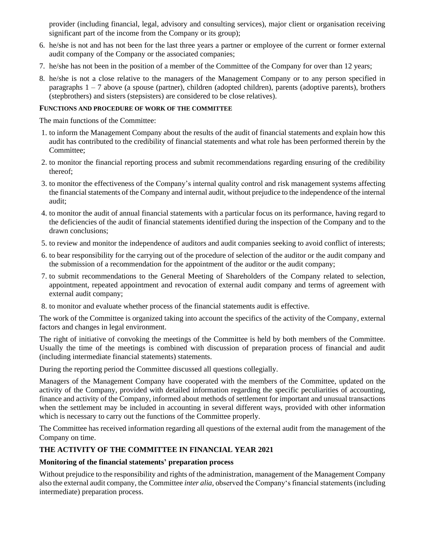provider (including financial, legal, advisory and consulting services), major client or organisation receiving significant part of the income from the Company or its group);

- 6. he/she is not and has not been for the last three years a partner or employee of the current or former external audit company of the Company or the associated companies;
- 7. he/she has not been in the position of a member of the Committee of the Company for over than 12 years;
- 8. he/she is not a close relative to the managers of the Management Company or to any person specified in paragraphs  $1 - 7$  above (a spouse (partner), children (adopted children), parents (adoptive parents), brothers (stepbrothers) and sisters (stepsisters) are considered to be close relatives).

#### **FUNCTIONS AND PROCEDURE OF WORK OF THE COMMITTEE**

The main functions of the Committee:

- 1. to inform the Management Company about the results of the audit of financial statements and explain how this audit has contributed to the credibility of financial statements and what role has been performed therein by the Committee;
- 2. to monitor the financial reporting process and submit recommendations regarding ensuring of the credibility thereof;
- 3. to monitor the effectiveness of the Company's internal quality control and risk management systems affecting the financial statements of the Company and internal audit, without prejudice to the independence of the internal audit;
- 4. to monitor the audit of annual financial statements with a particular focus on its performance, having regard to the deficiencies of the audit of financial statements identified during the inspection of the Company and to the drawn conclusions;
- 5. to review and monitor the independence of auditors and audit companies seeking to avoid conflict of interests;
- 6. to bear responsibility for the carrying out of the procedure of selection of the auditor or the audit company and the submission of a recommendation for the appointment of the auditor or the audit company;
- 7. to submit recommendations to the General Meeting of Shareholders of the Company related to selection, appointment, repeated appointment and revocation of external audit company and terms of agreement with external audit company;
- 8. to monitor and evaluate whether process of the financial statements audit is effective.

The work of the Committee is organized taking into account the specifics of the activity of the Company, external factors and changes in legal environment.

The right of initiative of convoking the meetings of the Committee is held by both members of the Committee. Usually the time of the meetings is combined with discussion of preparation process of financial and audit (including intermediate financial statements) statements.

During the reporting period the Committee discussed all questions collegially.

Managers of the Management Company have cooperated with the members of the Committee, updated on the activity of the Company, provided with detailed information regarding the specific peculiarities of accounting, finance and activity of the Company, informed about methods of settlement for important and unusual transactions when the settlement may be included in accounting in several different ways, provided with other information which is necessary to carry out the functions of the Committee properly.

The Committee has received information regarding all questions of the external audit from the management of the Company on time.

# **THE ACTIVITY OF THE COMMITTEE IN FINANCIAL YEAR 2021**

# **Monitoring of the financial statements' preparation process**

Without prejudice to the responsibility and rights of the administration, management of the Management Company also the external audit company, the Committee *inter alia*, observed the Company's financial statements(including intermediate) preparation process.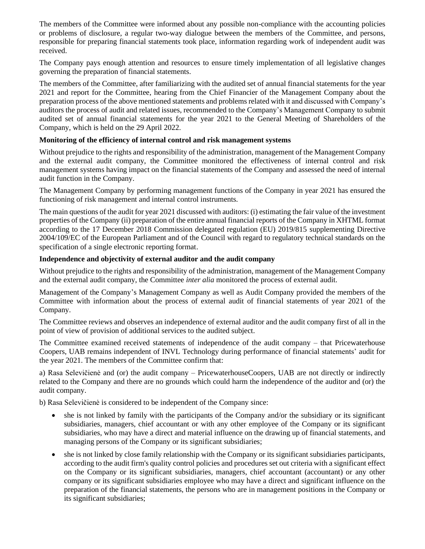The members of the Committee were informed about any possible non-compliance with the accounting policies or problems of disclosure, a regular two-way dialogue between the members of the Committee, and persons, responsible for preparing financial statements took place, information regarding work of independent audit was received.

The Company pays enough attention and resources to ensure timely implementation of all legislative changes governing the preparation of financial statements.

The members of the Committee, after familiarizing with the audited set of annual financial statements for the year 2021 and report for the Committee, hearing from the Chief Financier of the Management Company about the preparation process of the above mentioned statements and problems related with it and discussed with Company's auditors the process of audit and related issues, recommended to the Company's Management Company to submit audited set of annual financial statements for the year 2021 to the General Meeting of Shareholders of the Company, which is held on the 29 April 2022.

# **Monitoring of the efficiency of internal control and risk management systems**

Without prejudice to the rights and responsibility of the administration, management of the Management Company and the external audit company, the Committee monitored the effectiveness of internal control and risk management systems having impact on the financial statements of the Company and assessed the need of internal audit function in the Company.

The Management Company by performing management functions of the Company in year 2021 has ensured the functioning of risk management and internal control instruments.

The main questions of the audit for year 2021 discussed with auditors: (i) estimating the fair value of the investment properties of the Company (ii) preparation of the entire annual financial reports of the Company in XHTML format according to the 17 December 2018 Commission delegated regulation (EU) 2019/815 supplementing Directive 2004/109/EC of the European Parliament and of the Council with regard to regulatory technical standards on the specification of a single electronic reporting format.

# **Independence and objectivity of external auditor and the audit company**

Without prejudice to the rights and responsibility of the administration, management of the Management Company and the external audit company, the Committee *inter alia* monitored the process of external audit.

Management of the Company's Management Company as well as Audit Company provided the members of the Committee with information about the process of external audit of financial statements of year 2021 of the Company.

The Committee reviews and observes an independence of external auditor and the audit company first of all in the point of view of provision of additional services to the audited subject.

The Committee examined received statements of independence of the audit company – that Pricewaterhouse Coopers, UAB remains independent of INVL Technology during performance of financial statements' audit for the year 2021. The members of the Committee confirm that:

a) Rasa Selevičienė and (or) the audit company – PricewaterhouseCoopers, UAB are not directly or indirectly related to the Company and there are no grounds which could harm the independence of the auditor and (or) the audit company.

b) Rasa Selevičienė is considered to be independent of the Company since:

- she is not linked by family with the participants of the Company and/or the subsidiary or its significant subsidiaries, managers, chief accountant or with any other employee of the Company or its significant subsidiaries, who may have a direct and material influence on the drawing up of financial statements, and managing persons of the Company or its significant subsidiaries;
- she is not linked by close family relationship with the Company or its significant subsidiaries participants, according to the audit firm's quality control policies and procedures set out criteria with a significant effect on the Company or its significant subsidiaries, managers, chief accountant (accountant) or any other company or its significant subsidiaries employee who may have a direct and significant influence on the preparation of the financial statements, the persons who are in management positions in the Company or its significant subsidiaries;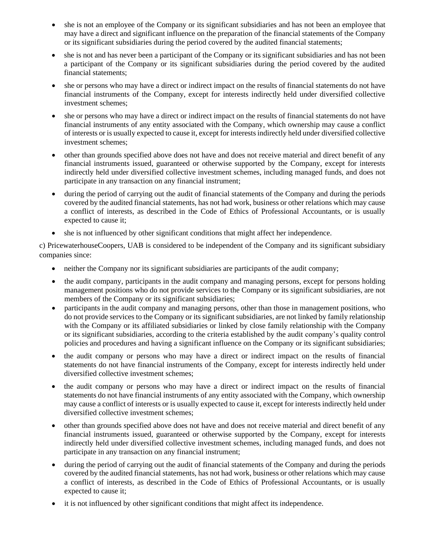- she is not an employee of the Company or its significant subsidiaries and has not been an employee that may have a direct and significant influence on the preparation of the financial statements of the Company or its significant subsidiaries during the period covered by the audited financial statements;
- she is not and has never been a participant of the Company or its significant subsidiaries and has not been a participant of the Company or its significant subsidiaries during the period covered by the audited financial statements;
- she or persons who may have a direct or indirect impact on the results of financial statements do not have financial instruments of the Company, except for interests indirectly held under diversified collective investment schemes;
- she or persons who may have a direct or indirect impact on the results of financial statements do not have financial instruments of any entity associated with the Company, which ownership may cause a conflict of interests or is usually expected to cause it, except for interests indirectly held under diversified collective investment schemes;
- other than grounds specified above does not have and does not receive material and direct benefit of any financial instruments issued, guaranteed or otherwise supported by the Company, except for interests indirectly held under diversified collective investment schemes, including managed funds, and does not participate in any transaction on any financial instrument;
- during the period of carrying out the audit of financial statements of the Company and during the periods covered by the audited financial statements, has not had work, business or other relations which may cause a conflict of interests, as described in the Code of Ethics of Professional Accountants, or is usually expected to cause it;
- she is not influenced by other significant conditions that might affect her independence.

c) PricewaterhouseCoopers, UAB is considered to be independent of the Company and its significant subsidiary companies since:

- neither the Company nor its significant subsidiaries are participants of the audit company;
- the audit company, participants in the audit company and managing persons, except for persons holding management positions who do not provide services to the Company or its significant subsidiaries, are not members of the Company or its significant subsidiaries;
- participants in the audit company and managing persons, other than those in management positions, who do not provide services to the Company or its significant subsidiaries, are not linked by family relationship with the Company or its affiliated subsidiaries or linked by close family relationship with the Company or its significant subsidiaries, according to the criteria established by the audit company's quality control policies and procedures and having a significant influence on the Company or its significant subsidiaries;
- the audit company or persons who may have a direct or indirect impact on the results of financial statements do not have financial instruments of the Company, except for interests indirectly held under diversified collective investment schemes;
- the audit company or persons who may have a direct or indirect impact on the results of financial statements do not have financial instruments of any entity associated with the Company, which ownership may cause a conflict of interests or is usually expected to cause it, except for interests indirectly held under diversified collective investment schemes;
- other than grounds specified above does not have and does not receive material and direct benefit of any financial instruments issued, guaranteed or otherwise supported by the Company, except for interests indirectly held under diversified collective investment schemes, including managed funds, and does not participate in any transaction on any financial instrument;
- during the period of carrying out the audit of financial statements of the Company and during the periods covered by the audited financial statements, has not had work, business or other relations which may cause a conflict of interests, as described in the Code of Ethics of Professional Accountants, or is usually expected to cause it;
- it is not influenced by other significant conditions that might affect its independence.